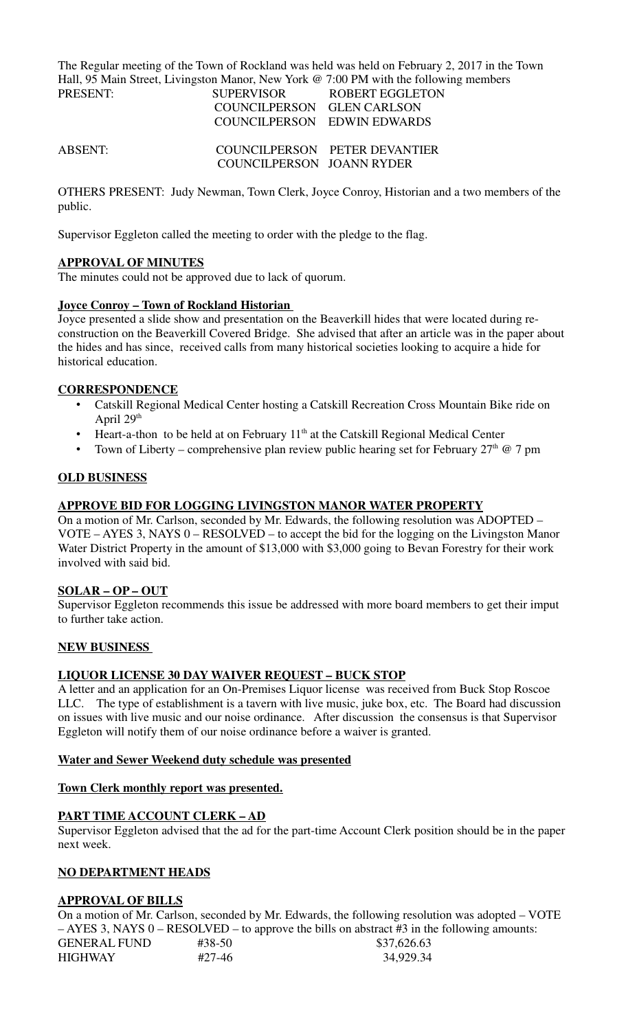The Regular meeting of the Town of Rockland was held was held on February 2, 2017 in the Town Hall, 95 Main Street, Livingston Manor, New York @ 7:00 PM with the following members<br> **EXELERT FOR ROBERT FOOL ETON** ROBERT FGGLETON

| TINEMENT.      |                             | <u>SULENVISUN — INUDENI EUULETUN</u> |
|----------------|-----------------------------|--------------------------------------|
|                | COUNCILPERSON GLEN CARLSON  |                                      |
|                | COUNCILPERSON EDWIN EDWARDS |                                      |
| <b>ABSENT:</b> |                             | COUNCILPERSON PETER DEVANTIER        |
|                | COUNCILPERSON JOANN RYDER   |                                      |

OTHERS PRESENT: Judy Newman, Town Clerk, Joyce Conroy, Historian and a two members of the public.

Supervisor Eggleton called the meeting to order with the pledge to the flag.

# **APPROVAL OF MINUTES**

The minutes could not be approved due to lack of quorum.

# **Joyce Conroy – Town of Rockland Historian**

Joyce presented a slide show and presentation on the Beaverkill hides that were located during reconstruction on the Beaverkill Covered Bridge. She advised that after an article was in the paper about the hides and has since, received calls from many historical societies looking to acquire a hide for historical education.

# **CORRESPONDENCE**

- Catskill Regional Medical Center hosting a Catskill Recreation Cross Mountain Bike ride on April 29<sup>th</sup>
- Heart-a-thon to be held at on February  $11<sup>th</sup>$  at the Catskill Regional Medical Center
- Town of Liberty comprehensive plan review public hearing set for February  $27<sup>th</sup>$  @ 7 pm

## **OLD BUSINESS**

## **APPROVE BID FOR LOGGING LIVINGSTON MANOR WATER PROPERTY**

On a motion of Mr. Carlson, seconded by Mr. Edwards, the following resolution was ADOPTED – VOTE – AYES 3, NAYS 0 – RESOLVED – to accept the bid for the logging on the Livingston Manor Water District Property in the amount of \$13,000 with \$3,000 going to Bevan Forestry for their work involved with said bid.

### **SOLAR – OP – OUT**

Supervisor Eggleton recommends this issue be addressed with more board members to get their imput to further take action.

### **NEW BUSINESS**

## **LIQUOR LICENSE 30 DAY WAIVER REQUEST – BUCK STOP**

A letter and an application for an On-Premises Liquor license was received from Buck Stop Roscoe LLC. The type of establishment is a tavern with live music, juke box, etc. The Board had discussion on issues with live music and our noise ordinance. After discussion the consensus is that Supervisor Eggleton will notify them of our noise ordinance before a waiver is granted.

### **Water and Sewer Weekend duty schedule was presented**

### **Town Clerk monthly report was presented.**

# **PART TIME ACCOUNT CLERK – AD**

Supervisor Eggleton advised that the ad for the part-time Account Clerk position should be in the paper next week.

### **NO DEPARTMENT HEADS**

### **APPROVAL OF BILLS**

On a motion of Mr. Carlson, seconded by Mr. Edwards, the following resolution was adopted – VOTE – AYES 3, NAYS 0 – RESOLVED – to approve the bills on abstract #3 in the following amounts:

| <b>GENERAL FUND</b> | #38-50 | \$37,626.63 |
|---------------------|--------|-------------|
| <b>HIGHWAY</b>      | #27-46 | 34,929.34   |